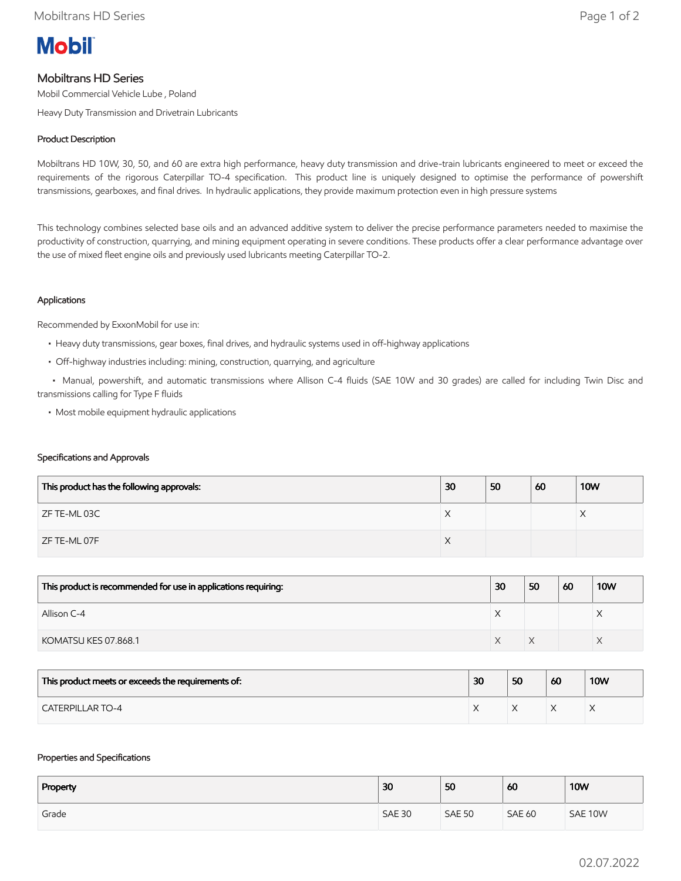

# Mobiltrans HD Series

Mobil Commercial Vehicle Lube , Poland

Heavy Duty Transmission and Drivetrain Lubricants

## Product Description

Mobiltrans HD 10W, 30, 50, and 60 are extra high performance, heavy duty transmission and drive-train lubricants engineered to meet or exceed the requirements of the rigorous Caterpillar TO-4 specification. This product line is uniquely designed to optimise the performance of powershift transmissions, gearboxes, and final drives. In hydraulic applications, they provide maximum protection even in high pressure systems

This technology combines selected base oils and an advanced additive system to deliver the precise performance parameters needed to maximise the productivity of construction, quarrying, and mining equipment operating in severe conditions. These products offer a clear performance advantage over the use of mixed fleet engine oils and previously used lubricants meeting Caterpillar TO-2.

## Applications

Recommended by ExxonMobil for use in:

- Heavy duty transmissions, gear boxes, final drives, and hydraulic systems used in off-highway applications
- Off-highway industries including: mining, construction, quarrying, and agriculture

 • Manual, powershift, and automatic transmissions where Allison C-4 fluids (SAE 10W and 30 grades) are called for including Twin Disc and transmissions calling for Type F fluids

• Most mobile equipment hydraulic applications

#### Specifications and Approvals

| This product has the following approvals: | 30 | 50 | 60 | <b>10W</b> |
|-------------------------------------------|----|----|----|------------|
| ZF TE-ML 03C                              | X  |    |    | ∧          |
| ZF TE-ML 07F                              | X  |    |    |            |

| This product is recommended for use in applications requiring: | 30 | 50 | 60 | <b>10W</b> |
|----------------------------------------------------------------|----|----|----|------------|
| Allison C-4                                                    |    |    |    |            |
| KOMATSU KES 07.868.1                                           |    |    |    |            |

| This product meets or exceeds the requirements of: | 30 | 50 | 60 | <b>10W</b> |
|----------------------------------------------------|----|----|----|------------|
| <b>CATERPILLAR TO-4</b>                            |    |    |    |            |

#### Properties and Specifications

| Property | 30            | 50            | 60            | <b>10W</b> |
|----------|---------------|---------------|---------------|------------|
| Grade    | <b>SAE 30</b> | <b>SAE 50</b> | <b>SAE 60</b> | SAE 10W    |